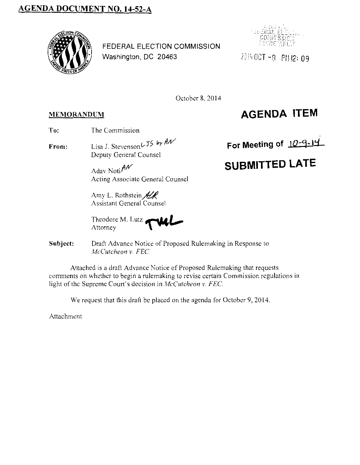## AGENDA DOCUMENT NO. 14-52-A



FEDERAL ELECTION COMMISSION Washington, DC 20463



2014 0CT-8 PM 12:09

October 8, 2014

## **MEMORANDUM**

## **AGENDA ITEM**

- To: The Commission
- From: Lisa J. Stevenson  $L$  J5 by  $h$ / Deputy General Counsel

Adav Noti $\mathcal{M}$ Acting Associate General Counsel

Amy L. Rothstein  $\mathcal{H}$ Assistant General Counsel

Theodore M. Lutz *.r"'dLl,..-.*  Attorney -\ .,........

Subject: Draft Advance Notice of Proposed Rulemaking in Response to *McCutcheon v. FEC* 

Attached is a draft Advance Notice of Proposed Rulemaking that requests comments on whether to begin a rulemaking to revise certain Commission regulations in light of the Supreme Court's decision in *McCutcheonv. FEC.* 

We request that this draft be placed on the agenda for October 9, 2014.

Attachment

For Meeting of 10-9-14

## **SUBMITTED LATE**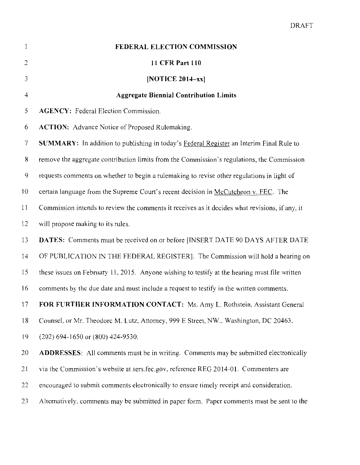|                | <b>FEDERAL ELECTION COMMISSION</b>                                                             |  |  |
|----------------|------------------------------------------------------------------------------------------------|--|--|
| $\overline{c}$ | 11 CFR Part 110                                                                                |  |  |
| 3              | [NOTICE $2014 - xx$ ]                                                                          |  |  |
| 4              | <b>Aggregate Biennial Contribution Limits</b>                                                  |  |  |
| 5              | <b>AGENCY: Federal Election Commission.</b>                                                    |  |  |
| 6              | ACTION: Advance Notice of Proposed Rulemaking.                                                 |  |  |
| $\overline{7}$ | SUMMARY: In addition to publishing in today's Federal Register an Interim Final Rule to        |  |  |
| 8              | remove the aggregate contribution limits from the Commission's regulations, the Commission     |  |  |
| $\mathbf 9$    | requests comments on whether to begin a rulemaking to revise other regulations in light of     |  |  |
| 10             | certain language from the Supreme Court's recent decision in McCutcheon v. FEC. The            |  |  |
| 11             | Commission intends to review the comments it receives as it decides what revisions, if any, it |  |  |
| 12             | will propose making to its rules.                                                              |  |  |
| 13             | <b>DATES:</b> Comments must be received on or before [INSERT DATE 90 DAYS AFTER DATE           |  |  |
| 14             | OF PUBLICATION IN THE FEDERAL REGISTER]. The Commission will hold a hearing on                 |  |  |
| 15             | these issues on February 11, 2015. Anyone wishing to testify at the hearing must file written  |  |  |
| 16             | comments by the due date and must include a request to testify in the written comments.        |  |  |
| 17             | FOR FURTHER INFORMATION CONTACT: Ms. Amy L. Rothstein, Assistant General                       |  |  |
| 18             | Counsel, or Mr. Theodorc M. Lutz, Attorney, 999 E Street, NW., Washington, DC 20463,           |  |  |
| 19             | (202) 694-1650 or (800) 424-9530.                                                              |  |  |
| 20             | <b>ADDRESSES:</b> All comments must be in writing. Comments may be submitted electronically    |  |  |
| 21             | via the Commission's website at sers.fec.gov, reference REG 2014-01. Commenters are            |  |  |
| 22             | encouraged to submit comments electronically to ensure timely receipt and consideration.       |  |  |
| 23             | Alternatively, comments may be submitted in paper form. Paper comments must be sent to the     |  |  |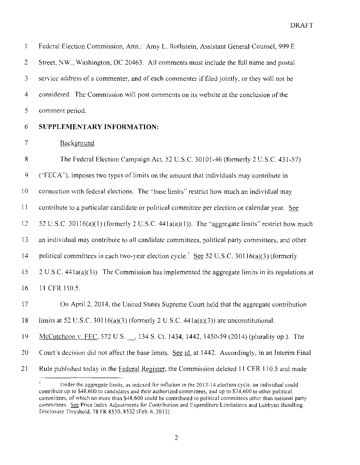| $\mathbf{I}$   | Federal Election Commission, Attn.: Amy L. Rothstein, Assistant General Counsel, 999 E                 |  |
|----------------|--------------------------------------------------------------------------------------------------------|--|
| $\overline{2}$ | Street, NW., Washington, DC 20463. All comments must include the full name and postal                  |  |
| 3              | service address of a commenter, and of each commenter if filed jointly, or they will not be            |  |
| 4              | considered. The Commission will post comments on its website at the conclusion of the                  |  |
| 5              | comment period.                                                                                        |  |
| 6              | SUPPLEMENTARY INFORMATION:                                                                             |  |
| 7              | Background                                                                                             |  |
| 8              | The Federal Election Campaign Act, 52 U.S.C. 30101-46 (formerly 2 U.S.C. 431-57)                       |  |
| 9              | ("FECA"), imposes two types of limits on the amount that individuals may contribute in                 |  |
| 10             | connection with federal elections. The "base limits" restrict how much an individual may               |  |
| 11             | contribute to a particular candidate or political committee per election or calendar year. See         |  |
| 12             | 52 U.S.C. 30116(a)(1) (formerly 2 U.S.C. 441a(a)(1)). The "aggregate limits" restrict how much         |  |
| 13             | an individual may contribute to all candidate committees, political party committees, and other        |  |
| 14             | political committees in each two-year election cycle. <sup>1</sup> See 52 U.S.C. 30116(a)(3) (formerly |  |
| 15             | $2 U.S.C. 441a(a)(3)$ ). The Commission has implemented the aggregate limits in its regulations at     |  |
| 16             | 11 CFR 110.5.                                                                                          |  |
| 17             | On April 2, 2014, the United States Supreme Court held that the aggregate contribution                 |  |
| 18             | limits at 52 U.S.C. 30116(a)(3) (formerly 2 U.S.C. 441a(a)(3)) are unconstitutional.                   |  |
| 19             | McCutcheon v. FEC, 572 U.S. 134 S. Ct. 1434, 1442, 1450-59 (2014) (plurality op.). The                 |  |
| 20             | Court's decision did not affect the base limits. See id. at 1442. Accordingly, in an Interim Final     |  |
| 21             | Rule published today in the Federal Register, the Commission deleted 11 CFR 110.5 and made             |  |

 $\mathbf l$ **Under the aggregate limits, as indexed for inflation in the 2013-14 election cycle. an individual could**  contribute up to \$48,600 to candidates and their authorized committees, and up to \$74,600 to other political **committees, of which no more than \$48,600 could be contributed to political committees other than national party committees. Sec Price Index Adjustments for Contribution and Expenditure Limitations and Lobbyist Bundling**  Disclosure Threshold. 78 FR 8530, 8532 (Feb. 6, 2013).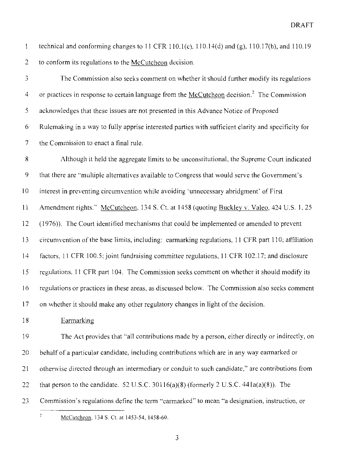technical and conforming changes to 11 CFR 110.1(c),  $110.14(d)$  and (g),  $110.17(b)$ , and  $110.19$  $\mathbf{1}$ 2 to conform its regulations to the McCutcheon decision.

 $\overline{3}$ The Commission also seeks comment on whether it should further modify its regulations or practices in response to certain language from the McCutcheon decision.<sup>2</sup> The Commission 4 5 acknowledges that these issues are not presented in this Advance Notice of Proposed 6 Rulemaking in a way to fully apprise interested parties with sufficient clarity and specificity for 7 the Commission to enact a final rule.

8 9 10 1 1 12 13 14 15 16 17 Although it held the aggregate limits to be unconstitutional, the Supreme Court indicated that there are "multiple alternatives available to Congress that would serve the Government's interest in preventing circumvention while avoiding ·unnecessary abridgment' of First Amendment rights." McCutcheon, 134 S. Ct. at 1458 (quoting Buckley v. Valeo, 424 U.S. 1, 25 ( 1976)). The Court identified mechanisms that could be implemented or amended to prevent circumvention of the base limits, including: earmarking regulations, 11 CFR part 110; affiliation factors, 11 CFR 100.5; joint fundraising committee regulations, 11 CFR 102.17; and disclosure regulations. 11 CFR part 104. The Commission seeks comment on whether it should modify its regulations or practices in these areas, as discussed below. The Commission also seeks comment on whether it should make any other regulatory changes in light of the decision.

18 Earmarking

19 20 21 22 The Act provides that "all contributions made by a person, either directly or indirectly, on behalf of a particular candidate, including contributions which are in any way earmarked or otherwise directed through an intermediary or conduit to such candidate," are contributions from that person to the candidate. 52 U.S.C.  $30116(a)(8)$  (formerly 2 U.S.C.  $441a(a)(8)$ ). The

 $23$ Commission's regulations define the term "earmarked" to mean "a designation, instruction, or

 $\overline{2}$ 

McCutcheon. 134 S. Ct. at 1453-54, 1458-60.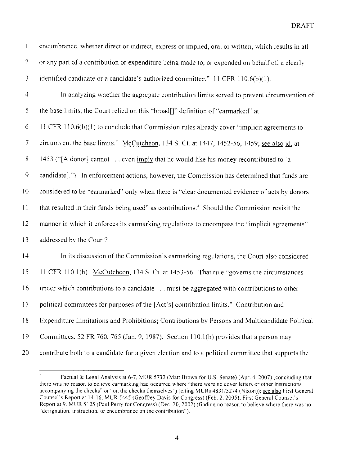| $\mathbf{1}$    | encumbrance, whether direct or indirect, express or implied, oral or written, which results in all        |  |
|-----------------|-----------------------------------------------------------------------------------------------------------|--|
| $\overline{2}$  | or any part of a contribution or expenditure being made to, or expended on behalf of, a clearly           |  |
| 3               | identified candidate or a candidate's authorized committee." 11 CFR 110.6(b)(1).                          |  |
| $\overline{4}$  | In analyzing whether the aggregate contribution limits served to prevent circumvention of                 |  |
| 5               | the base limits, the Court relied on this "broad[]" definition of "earmarked" at                          |  |
| 6               | 11 CFR 110.6(b)(1) to conclude that Commission rules already cover "implicit agreements to                |  |
| $\overline{7}$  | circumvent the base limits." McCutcheon, 134 S. Ct. at 1447, 1452-56, 1459; see also id. at               |  |
| $8\,$           | 1453 ("[A donor] cannot even imply that he would like his money recontributed to [a                       |  |
| 9               | candidate]."). In enforcement actions, however, the Commission has determined that funds are              |  |
| 10 <sup>°</sup> | considered to be "earmarked" only when there is "clear documented evidence of acts by donors              |  |
| 11              | that resulted in their funds being used" as contributions. <sup>3</sup> Should the Commission revisit the |  |
| 12              | manner in which it enforces its earmarking regulations to encompass the "implicit agreements"             |  |
| 13              | addressed by the Court?                                                                                   |  |
| 14              | In its discussion of the Commission's earmarking regulations, the Court also considered                   |  |
| 15              | 11 CFR 110.1(h). McCutcheon, 134 S. Ct. at 1453-56. That rule "governs the circumstances                  |  |
| 16              | under which contributions to a candidate must be aggregated with contributions to other                   |  |
| 17              | political committees for purposes of the [Act's] contribution limits." Contribution and                   |  |
| 18              | Expenditure Limitations and Prohibitions; Contributions by Persons and Multicandidate Political           |  |
| 19              | Committees, 52 FR 760, 765 (Jan. 9, 1987). Section 110.1(h) provides that a person may                    |  |
| 20              | contribute both to a candidate for a given election and to a political committee that supports the        |  |

 $\mathfrak{Z}$ Factual & Legal Analysis at 6-7, MUR 5732 (Matt Brown for U.S. Senate) (Apr. 4, 2007) (concluding that there was no reason to believe earmarking had occurred where "there were no cover letters or other instructions accompanying the checks" or "on the checks themselves'') (citing MURs 4831/5274 (Nixon)); see also First General Counsel's Report at 14-16. MUR 5445 (Geoffrey Davis for Congress) (Feb. 2, 2005); First General Counsel's Report at 9. MUR 5125 (Paul Perry for Congress) (Dec. 20. 2002) (finding no reason to believe where there was no **"designation, instruction, or encumbrance on the contribution").**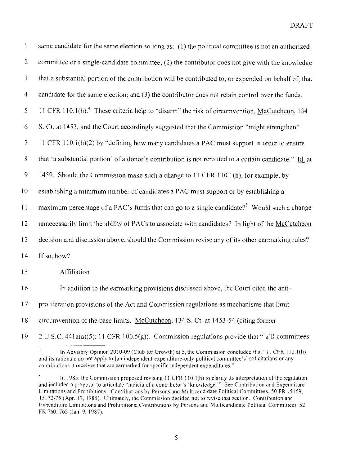| 1              | same candidate for the same election so long as: (1) the political committee is not an authorized        |  |
|----------------|----------------------------------------------------------------------------------------------------------|--|
| $\overline{c}$ | committee or a single-candidate committee; (2) the contributor does not give with the knowledge          |  |
| 3              | that a substantial portion of the contribution will be contributed to, or expended on behalf of, that    |  |
| 4              | candidate for the same election; and $(3)$ the contributor does not retain control over the funds.       |  |
| 5              | 11 CFR 110.1(h). <sup>4</sup> These criteria help to "disarm" the risk of circumvention, McCutcheon, 134 |  |
| 6              | S. Ct. at 1453, and the Court accordingly suggested that the Commission "might strengthen"               |  |
| 7              | 11 CFR 110.1(h)(2) by "defining how many candidates a PAC must support in order to ensure                |  |
| 8              | that 'a substantial portion' of a donor's contribution is not rerouted to a certain candidate." Id. at   |  |
| 9              | 1459. Should the Commission make such a change to 11 CFR 110.1(h), for example, by                       |  |
| 10             | establishing a minimum number of candidates a PAC must support or by establishing a                      |  |
| 11             | maximum percentage of a PAC's funds that can go to a single candidate? <sup>5</sup> Would such a change  |  |
| 12             | unnecessarily limit the ability of PACs to associate with candidates? In light of the McCutcheon         |  |
| 13             | decision and discussion above, should the Commission revise any of its other earmarking rules?           |  |
| 14             | If so, how?                                                                                              |  |
| 15             | Affiliation                                                                                              |  |
| 16             | In addition to the earmarking provisions discussed above, the Court cited the anti-                      |  |
| 17             | proliferation provisions of the Act and Commission regulations as mechanisms that limit                  |  |
| 18             | circumvention of the base limits. McCutchcon, 134 S. Ct. at 1453-54 (citing former                       |  |
| 19             | 2 U.S.C. 441a(a)(5); 11 CFR 100.5(g)). Commission regulations provide that "[a]ll committees             |  |

 $\downarrow$ In Advisory Opinion 20!0-09 (Club for Growth) at 5, the Commission concluded that "II CFR IIO.l(h) **and its rationale do not apply to [an independent-expenditure-only political committee's] solicitations or any**  contributions it receives that are earmarked for specific independent expenditures."

 $\mathfrak{s}$ In 1985, the Commission proposed revising 11 CFR 110.1(h) to clarify its interpretation of the regulation and included a proposal to articulate "indicia of a contributor's 'knowledge." See Contribution and Expenditure **Limitations and Prohibitions: Contributions by Persons and Multicandidate Political Committees, 50 FR 15169,**  I 5172-75 (Apr. 17, !985). Ultimately, the Commission decided not to revise that section. Contribution and **Expenditure Limitations and Prohibitions; Contributions by Persons and Multicandidate Political Committees, 52**  FR 760. 765 (Jan. 9, 1987).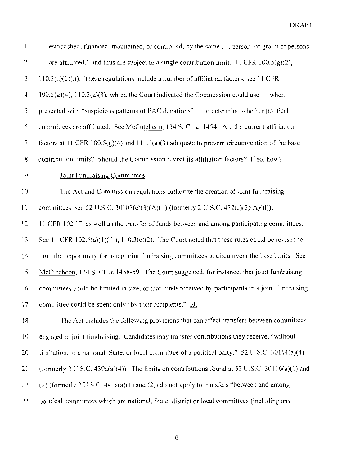| $\mathbf{l}$            | established, financed, maintained, or controlled, by the same  person, or group of persons         |  |
|-------------------------|----------------------------------------------------------------------------------------------------|--|
| 2                       | are affiliated," and thus are subject to a single contribution limit. 11 CFR 100.5(g)(2),          |  |
| 3                       | $110.3(a)(1)(ii)$ . These regulations include a number of affiliation factors, see 11 CFR          |  |
| $\overline{\mathbf{4}}$ | $100.5(g)(4)$ , $110.3(a)(3)$ , which the Court indicated the Commission could use — when          |  |
| 5                       | presented with "suspicious patterns of PAC donations" — to determine whether political             |  |
| 6                       | committees are affiliated. See McCutcheon, 134 S. Ct. at 1454. Are the current affiliation         |  |
| $\tau$                  | factors at 11 CFR $100.5(g)(4)$ and $110.3(a)(3)$ adequate to prevent circumvention of the base    |  |
| 8                       | contribution limits? Should the Commission revisit its affiliation factors? If so, how?            |  |
| 9                       | Joint Fundraising Committees                                                                       |  |
| 10                      | The Act and Commission regulations authorize the creation of joint fundraising                     |  |
| 11                      | committees, see 52 U.S.C. 30102(e)(3)(A)(ii) (formerly 2 U.S.C. 432(e)(3)(A)(ii));                 |  |
| 12                      | 11 CFR 102.17, as well as the transfer of funds between and among participating committees.        |  |
| 13                      | See 11 CFR 102.6(a)(1)(iii), 110.3(c)(2). The Court noted that these rules could be revised to     |  |
| 14                      | limit the opportunity for using joint fundraising committees to circumvent the base limits. See    |  |
| 15                      | McCutchcon, 134 S. Ct. at 1458-59. The Court suggested, for instance, that joint fundraising       |  |
| 16                      | committees could be limited in size, or that funds received by participants in a joint fundraising |  |
| 17                      | committee could be spent only "by their recipients." Id.                                           |  |
| 18                      | The Act includes the following provisions that can affect transfers between committees             |  |
| 19                      | engaged in joint fundraising. Candidates may transfer contributions they receive, "without         |  |
| 20                      | limitation, to a national, State, or local committee of a political party." 52 U.S.C. 30114(a)(4)  |  |
| 21                      | (formerly 2 U.S.C. 439a(a)(4)). The limits on contributions found at 52 U.S.C. 30116(a)(1) and     |  |
| 22                      | (2) (formerly 2 U.S.C. $441a(a)(1)$ and (2)) do not apply to transfers "between and among          |  |
| 23                      | political committees which are national, State, district or local committees (including any        |  |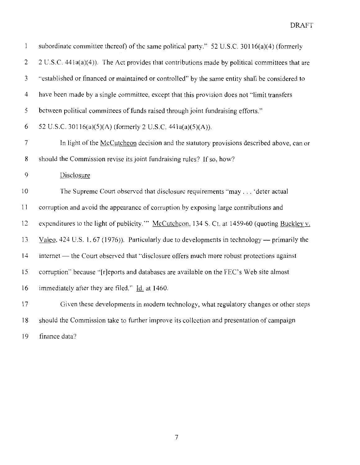| $\mathbf{1}$   | subordinate committee thereof) of the same political party." 52 U.S.C. 30116(a)(4) (formerly     |  |
|----------------|--------------------------------------------------------------------------------------------------|--|
| 2              | 2 U.S.C. 441a(a)(4)). The Act provides that contributions made by political committees that are  |  |
| 3              | "established or financed or maintained or controlled" by the same entity shall be considered to  |  |
| 4              | have been made by a single committee, except that this provision does not "limit transfers       |  |
| 5              | between political committees of funds raised through joint fundraising efforts."                 |  |
| 6              | 52 U.S.C. 30116(a)(5)(A) (formerly 2 U.S.C. 441a(a)(5)(A)).                                      |  |
| $\overline{7}$ | In light of the McCutcheon decision and the statutory provisions described above, can or         |  |
| 8              | should the Commission revise its joint fundraising rules? If so, how?                            |  |
| 9              | Disclosure                                                                                       |  |
| 10             | The Supreme Court observed that disclosure requirements "may 'deter actual                       |  |
| 11             | corruption and avoid the appearance of corruption by exposing large contributions and            |  |
| 12             | expenditures to the light of publicity." McCutchcon, 134 S. Ct. at 1459-60 (quoting Buckley v.   |  |
| 13             | $Valeo$ , 424 U.S. 1, 67 (1976)). Particularly due to developments in technology — primarily the |  |
| 14             | internet — the Court observed that "disclosure offers much more robust protections against       |  |
| 15             | corruption" because "[r]eports and databases are available on the FEC's Web site almost          |  |
| 16             | immediately after they are filed." Id. at 1460.                                                  |  |
| 17             | Given these developments in modern technology, what regulatory changes or other steps            |  |
| 18             | should the Commission take to further improve its collection and presentation of campaign        |  |
| 19             | finance data?                                                                                    |  |